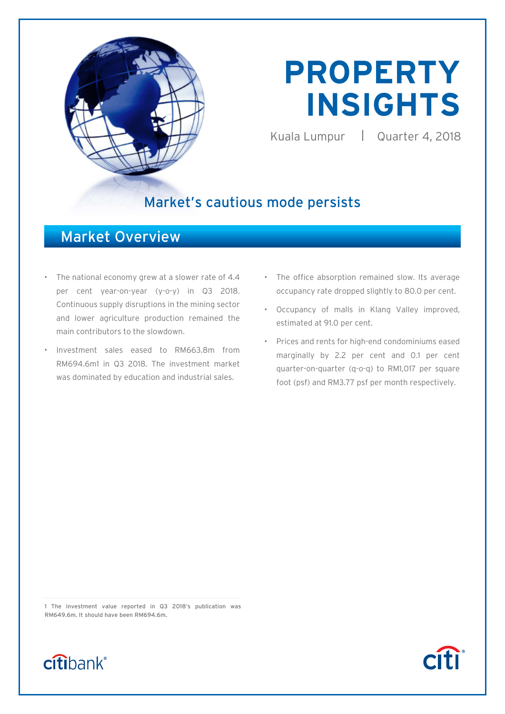

# **PROPERTY INSIGHTS**

Kuala Lumpur | Quarter 4, 2018

# Market's cautious mode persists

# Market Overview

- The national economy grew at a slower rate of 4.4 per cent year-on-year (y-o-y) in Q3 2018. Continuous supply disruptions in the mining sector and lower agriculture production remained the main contributors to the slowdown.
- Investment sales eased to RM663.8m from RM694.6m1 in Q3 2018. The investment market was dominated by education and industrial sales.
- The office absorption remained slow. Its average occupancy rate dropped slightly to 80.0 per cent.
- Occupancy of malls in Klang Valley improved, estimated at 91.0 per cent.
- Prices and rents for high-end condominiums eased marginally by 2.2 per cent and 0.1 per cent quarter-on-quarter (q-o-q) to RM1,017 per square foot (psf) and RM3.77 psf per month respectively.

1 The investment value reported in Q3 2018's publication was RM649.6m. It should have been RM694.6m.



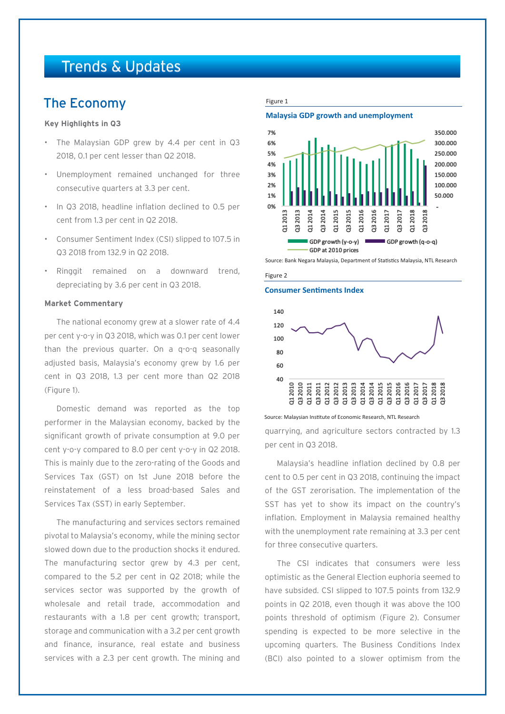# Trends & Updates

## The Economy

#### **Key Highlights in Q3**

- The Malaysian GDP grew by 4.4 per cent in Q3 2018, 0.1 per cent lesser than Q2 2018.
- Unemployment remained unchanged for three consecutive quarters at 3.3 per cent.
- In Q3 2018, headline inflation declined to 0.5 per cent from 1.3 per cent in Q2 2018.
- Consumer Sentiment Index (CSI) slipped to 107.5 in Q3 2018 from 132.9 in Q2 2018.
- Ringgit remained on a downward trend, depreciating by 3.6 per cent in Q3 2018.

#### **Market Commentary**

The national economy grew at a slower rate of 4.4 per cent y-o-y in Q3 2018, which was 0.1 per cent lower than the previous quarter. On a q-o-q seasonally adjusted basis, Malaysia's economy grew by 1.6 per cent in Q3 2018, 1.3 per cent more than Q2 2018 (Figure 1).

Domestic demand was reported as the top performer in the Malaysian economy, backed by the significant growth of private consumption at 9.0 per cent y-o-y compared to 8.0 per cent y-o-y in Q2 2018. This is mainly due to the zero-rating of the Goods and Services Tax (GST) on 1st June 2018 before the reinstatement of a less broad-based Sales and Services Tax (SST) in early September.

The manufacturing and services sectors remained pivotal to Malaysia's economy, while the mining sector slowed down due to the production shocks it endured. The manufacturing sector grew by 4.3 per cent, compared to the 5.2 per cent in Q2 2018; while the services sector was supported by the growth of wholesale and retail trade, accommodation and restaurants with a 1.8 per cent growth; transport, storage and communication with a 3.2 per cent growth and finance, insurance, real estate and business services with a 2.3 per cent growth. The mining and

#### Figure 1





Source: Bank Negara Malaysia, Department of Statistics Malaysia, NTL Research



#### **Consumer Sentiments Index**



Source: Malaysian Institute of Economic Research, NTL Research

quarrying, and agriculture sectors contracted by 1.3 per cent in Q3 2018.

Malaysia's headline inflation declined by 0.8 per cent to 0.5 per cent in Q3 2018, continuing the impact of the GST zerorisation. The implementation of the SST has yet to show its impact on the country's inflation. Employment in Malaysia remained healthy with the unemployment rate remaining at 3.3 per cent for three consecutive quarters.

The CSI indicates that consumers were less optimistic as the General Election euphoria seemed to have subsided. CSI slipped to 107.5 points from 132.9 points in Q2 2018, even though it was above the 100 points threshold of optimism (Figure 2). Consumer spending is expected to be more selective in the upcoming quarters. The Business Conditions Index (BCI) also pointed to a slower optimism from the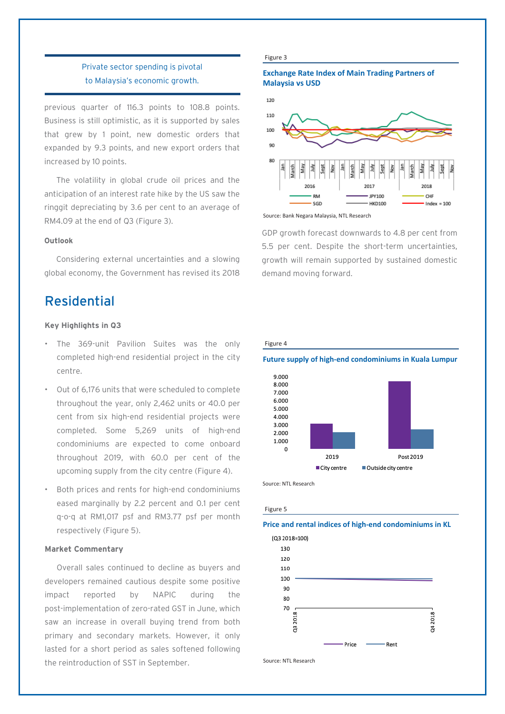### Private sector spending is pivotal to Malaysia's economic growth.

previous quarter of 116.3 points to 108.8 points. Business is still optimistic, as it is supported by sales that grew by 1 point, new domestic orders that expanded by 9.3 points, and new export orders that increased by 10 points.

The volatility in global crude oil prices and the anticipation of an interest rate hike by the US saw the ringgit depreciating by 3.6 per cent to an average of RM4.09 at the end of Q3 (Figure 3).

#### **Outlook**

Considering external uncertainties and a slowing global economy, the Government has revised its 2018

# Residential

#### **Key Highlights in Q3**

- The 369-unit Pavilion Suites was the only completed high-end residential project in the city centre.
- Out of 6,176 units that were scheduled to complete throughout the year, only 2,462 units or 40.0 per cent from six high-end residential projects were completed. Some 5,269 units of high-end condominiums are expected to come onboard throughout 2019, with 60.0 per cent of the upcoming supply from the city centre (Figure 4).
- Both prices and rents for high-end condominiums eased marginally by 2.2 percent and 0.1 per cent q-o-q at RM1,017 psf and RM3.77 psf per month respectively (Figure 5).

#### **Market Commentary**

Overall sales continued to decline as buyers and developers remained cautious despite some positive impact reported by NAPIC during the post-implementation of zero-rated GST in June, which saw an increase in overall buying trend from both primary and secondary markets. However, it only lasted for a short period as sales softened following the reintroduction of SST in September.

#### Figure 3

#### **Exchange Rate Index of Main Trading Partners of Malaysia vs USD**



Source: Bank Negara Malaysia, NTL Research

GDP growth forecast downwards to 4.8 per cent from 5.5 per cent. Despite the short-term uncertainties, growth will remain supported by sustained domestic demand moving forward.



**Future supply of high-end condominiums in Kuala Lumpur**



Source: NTL Research

#### Figure 5

#### **Price and rental indices of high-end condominiums in KL**



Source: NTL Research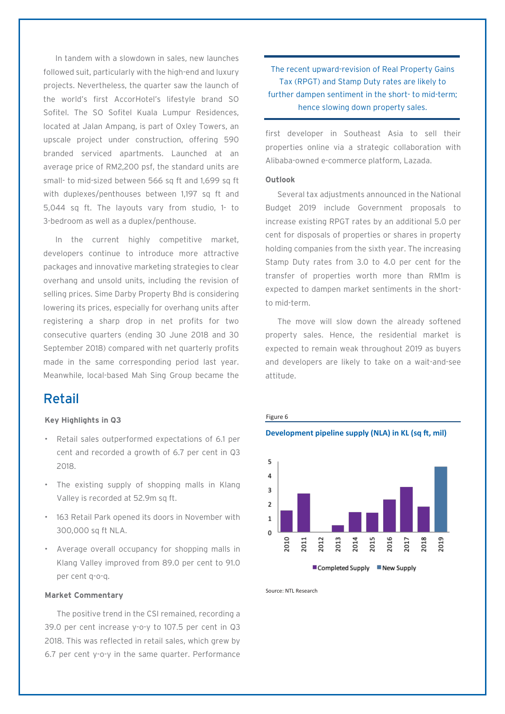In tandem with a slowdown in sales, new launches followed suit, particularly with the high-end and luxury projects. Nevertheless, the quarter saw the launch of the world's first AccorHotel's lifestyle brand SO Sofitel. The SO Sofitel Kuala Lumpur Residences, located at Jalan Ampang, is part of Oxley Towers, an upscale project under construction, offering 590 branded serviced apartments. Launched at an average price of RM2,200 psf, the standard units are small- to mid-sized between 566 sq ft and 1,699 sq ft with duplexes/penthouses between 1,197 sq ft and 5,044 sq ft. The layouts vary from studio, 1- to 3-bedroom as well as a duplex/penthouse.

In the current highly competitive market, developers continue to introduce more attractive packages and innovative marketing strategies to clear overhang and unsold units, including the revision of selling prices. Sime Darby Property Bhd is considering lowering its prices, especially for overhang units after registering a sharp drop in net profits for two consecutive quarters (ending 30 June 2018 and 30 September 2018) compared with net quarterly profits made in the same corresponding period last year. Meanwhile, local-based Mah Sing Group became the

### Retail

#### **Key Highlights in Q3**

- Retail sales outperformed expectations of 6.1 per cent and recorded a growth of 6.7 per cent in Q3 2018.
- The existing supply of shopping malls in Klang Valley is recorded at 52.9m sq ft.
- 163 Retail Park opened its doors in November with 300,000 sq ft NLA.
- Average overall occupancy for shopping malls in Klang Valley improved from 89.0 per cent to 91.0 per cent q-o-q.

#### **Market Commentary**

The positive trend in the CSI remained, recording a 39.0 per cent increase y-o-y to 107.5 per cent in Q3 2018. This was reflected in retail sales, which grew by 6.7 per cent y-o-y in the same quarter. Performance

The recent upward-revision of Real Property Gains Tax (RPGT) and Stamp Duty rates are likely to further dampen sentiment in the short- to mid-term; hence slowing down property sales.

first developer in Southeast Asia to sell their properties online via a strategic collaboration with Alibaba-owned e-commerce platform, Lazada.

#### **Outlook**

Several tax adjustments announced in the National Budget 2019 include Government proposals to increase existing RPGT rates by an additional 5.0 per cent for disposals of properties or shares in property holding companies from the sixth year. The increasing Stamp Duty rates from 3.0 to 4.0 per cent for the transfer of properties worth more than RM1m is expected to dampen market sentiments in the shortto mid-term.

The move will slow down the already softened property sales. Hence, the residential market is expected to remain weak throughout 2019 as buyers and developers are likely to take on a wait-and-see attitude.



Source: NTL Research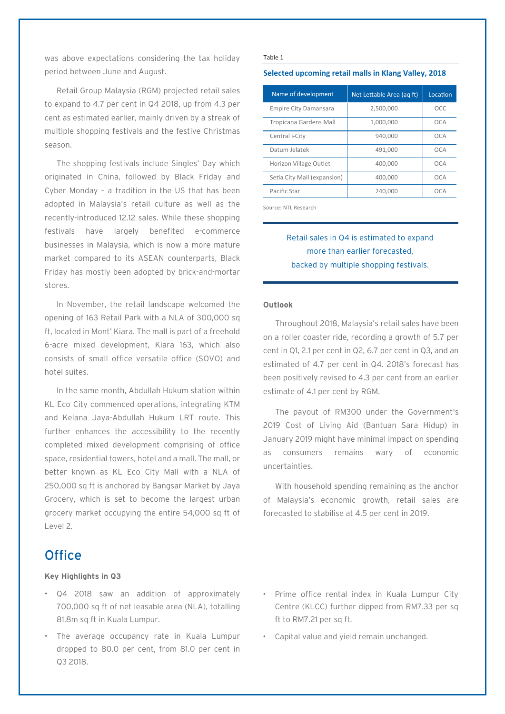was above expectations considering the tax holiday period between June and August.

Retail Group Malaysia (RGM) projected retail sales to expand to 4.7 per cent in Q4 2018, up from 4.3 per cent as estimated earlier, mainly driven by a streak of multiple shopping festivals and the festive Christmas season.

The shopping festivals include Singles' Day which originated in China, followed by Black Friday and Cyber Monday – a tradition in the US that has been adopted in Malaysia's retail culture as well as the recently-introduced 12.12 sales. While these shopping festivals have largely benefited e-commerce businesses in Malaysia, which is now a more mature market compared to its ASEAN counterparts, Black Friday has mostly been adopted by brick-and-mortar stores.

In November, the retail landscape welcomed the opening of 163 Retail Park with a NLA of 300,000 sq ft, located in Mont' Kiara. The mall is part of a freehold 6-acre mixed development, Kiara 163, which also consists of small office versatile office (SOVO) and hotel suites.

In the same month, Abdullah Hukum station within KL Eco City commenced operations, integrating KTM and Kelana Jaya-Abdullah Hukum LRT route. This further enhances the accessibility to the recently completed mixed development comprising of office space, residential towers, hotel and a mall. The mall, or better known as KL Eco City Mall with a NLA of 250,000 sq ft is anchored by Bangsar Market by Jaya Grocery, which is set to become the largest urban grocery market occupying the entire 54,000 sq ft of Level 2.

# **Office**

#### **Key Highlights in Q3**

- Q4 2018 saw an addition of approximately 700,000 sq ft of net leasable area (NLA), totalling 81.8m sq ft in Kuala Lumpur.
- The average occupancy rate in Kuala Lumpur dropped to 80.0 per cent, from 81.0 per cent in Q3 2018.

#### Table 1

#### **Selected upcoming retail malls in Klang Valley, 2018**

| Name of development          | Net Lettable Area (ag ft) | Location |
|------------------------------|---------------------------|----------|
| <b>Empire City Damansara</b> | 2,500,000                 | OCC      |
| Tropicana Gardens Mall       | 1,000,000                 | OCA      |
| Central i-City               | 940.000                   | OCA      |
| Datum Jelatek                | 491.000                   | OCA      |
| Horizon Village Outlet       | 400.000                   | OCA      |
| Setia City Mall (expansion)  | 400,000                   | OCA      |
| Pacific Star                 | 240.000                   | OCA      |

Source: NTL Research

### Retail sales in Q4 is estimated to expand more than earlier forecasted, backed by multiple shopping festivals.

#### **Outlook**

Throughout 2018, Malaysia's retail sales have been on a roller coaster ride, recording a growth of 5.7 per cent in Q1, 2.1 per cent in Q2, 6.7 per cent in Q3, and an estimated of 4.7 per cent in Q4. 2018's forecast has been positively revised to 4.3 per cent from an earlier estimate of 4.1 per cent by RGM.

The payout of RM300 under the Government's 2019 Cost of Living Aid (Bantuan Sara Hidup) in January 2019 might have minimal impact on spending as consumers remains wary of economic uncertainties.

With household spending remaining as the anchor of Malaysia's economic growth, retail sales are forecasted to stabilise at 4.5 per cent in 2019.

- Prime office rental index in Kuala Lumpur City Centre (KLCC) further dipped from RM7.33 per sq ft to RM7.21 per sq ft.
- Capital value and yield remain unchanged.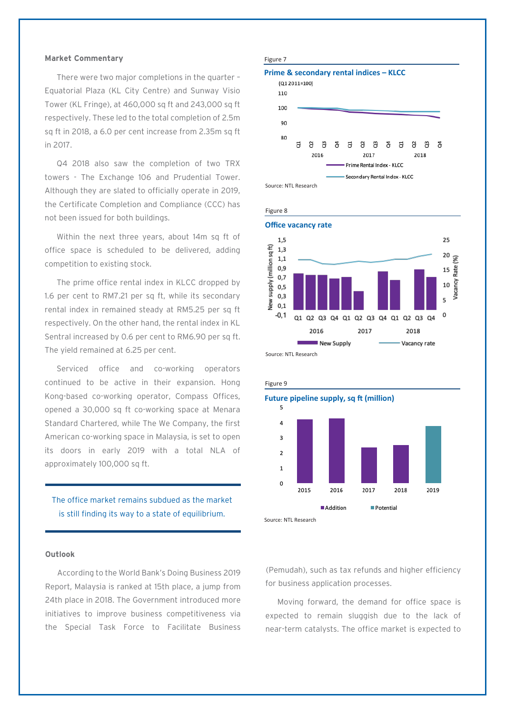#### **Market Commentary**

There were two major completions in the quarter – Equatorial Plaza (KL City Centre) and Sunway Visio Tower (KL Fringe), at 460,000 sq ft and 243,000 sq ft respectively. These led to the total completion of 2.5m sq ft in 2018, a 6.0 per cent increase from 2.35m sq ft in 2017.

Q4 2018 also saw the completion of two TRX towers - The Exchange 106 and Prudential Tower. Although they are slated to officially operate in 2019, the Certificate Completion and Compliance (CCC) has not been issued for both buildings.

Within the next three years, about 14m sq ft of office space is scheduled to be delivered, adding competition to existing stock.

The prime office rental index in KLCC dropped by 1.6 per cent to RM7.21 per sq ft, while its secondary rental index in remained steady at RM5.25 per sq ft respectively. On the other hand, the rental index in KL Sentral increased by 0.6 per cent to RM6.90 per sq ft. The yield remained at 6.25 per cent.

Serviced office and co-working operators continued to be active in their expansion. Hong Kong-based co-working operator, Compass Offices, opened a 30,000 sq ft co-working space at Menara Standard Chartered, while The We Company, the first American co-working space in Malaysia, is set to open its doors in early 2019 with a total NLA of approximately 100,000 sq ft.

### The office market remains subdued as the market is still finding its way to a state of equilibrium.

#### **Outlook**

According to the World Bank's Doing Business 2019 Report, Malaysia is ranked at 15th place, a jump from 24th place in 2018. The Government introduced more initiatives to improve business competitiveness via the Special Task Force to Facilitate Business









(Pemudah), such as tax refunds and higher efficiency for business application processes.

Moving forward, the demand for office space is expected to remain sluggish due to the lack of near-term catalysts. The office market is expected to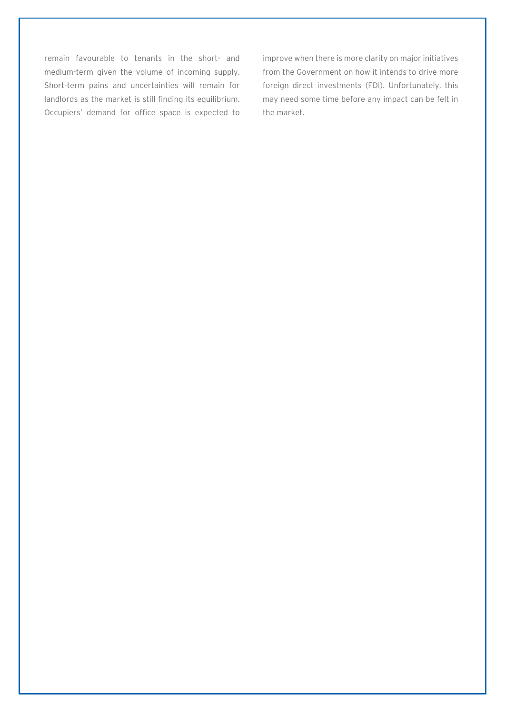remain favourable to tenants in the short- and medium-term given the volume of incoming supply. Short-term pains and uncertainties will remain for landlords as the market is still finding its equilibrium. Occupiers' demand for office space is expected to improve when there is more clarity on major initiatives from the Government on how it intends to drive more foreign direct investments (FDI). Unfortunately, this may need some time before any impact can be felt in the market.